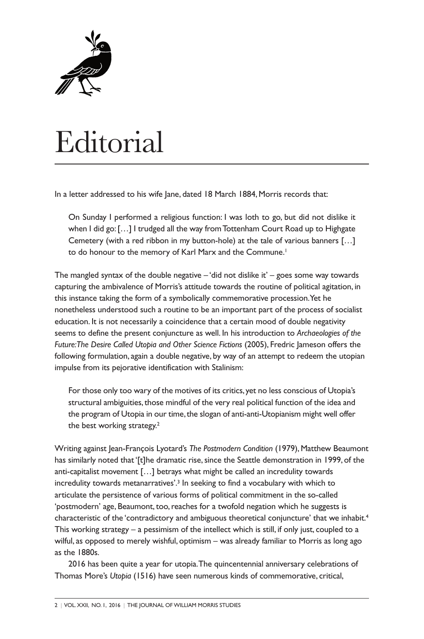

## **Editorial**

In a letter addressed to his wife Jane, dated 18 March 1884, Morris records that:

On Sunday I performed a religious function: I was loth to go, but did not dislike it when I did go: [...] I trudged all the way from Tottenham Court Road up to Highgate Cemetery (with a red ribbon in my button-hole) at the tale of various banners […] to do honour to the memory of Karl Marx and the Commune. 1

The mangled syntax of the double negative  $-$  'did not dislike it' – goes some way towards capturing the ambivalence of Morris's attitude towards the routine of political agitation, in this instance taking the form of a symbolically commemorative procession.Yet he nonetheless understood such a routine to be an important part of the process of socialist education. It is not necessarily a coincidence that a certain mood of double negativity seems to define the present conjuncture as well. In his introduction to *Archaeologies of the Future:The Desire Called Utopia and Other Science Fictions* (2005), Fredric Jameson offers the following formulation, again a double negative, by way of an attempt to redeem the utopian impulse from its pejorative identification with Stalinism:

For those only too wary of the motives of its critics, yet no less conscious of Utopia's structural ambiguities, those mindful of the very real political function of the idea and the program of Utopia in our time, the slogan of anti-anti-Utopianism might well offer the best working strategy.<sup>2</sup>

Writing against Jean-François Lyotard's *The Postmodern Condition* (1979),Matthew Beaumont has similarly noted that '[t]he dramatic rise, since the Seattle demonstration in 1999, of the anti-capitalist movement […] betrays what might be called an incredulity towards incredulity towards metanarratives'. <sup>3</sup> In seeking to find a vocabulary with which to articulate the persistence of various forms of political commitment in the so-called 'postmodern' age, Beaumont, too, reaches for a twofold negation which he suggests is characteristic of the 'contradictory and ambiguous theoretical conjuncture' that we inhabit. 4 This working strategy – a pessimism of the intellect which is still, if only just, coupled to a wilful, as opposed to merely wishful, optimism – was already familiar to Morris as long ago as the 1880s.

2016 has been quite a year for utopia.The quincentennial anniversary celebrations of Thomas More's *Utopia* (1516) have seen numerous kinds of commemorative, critical,